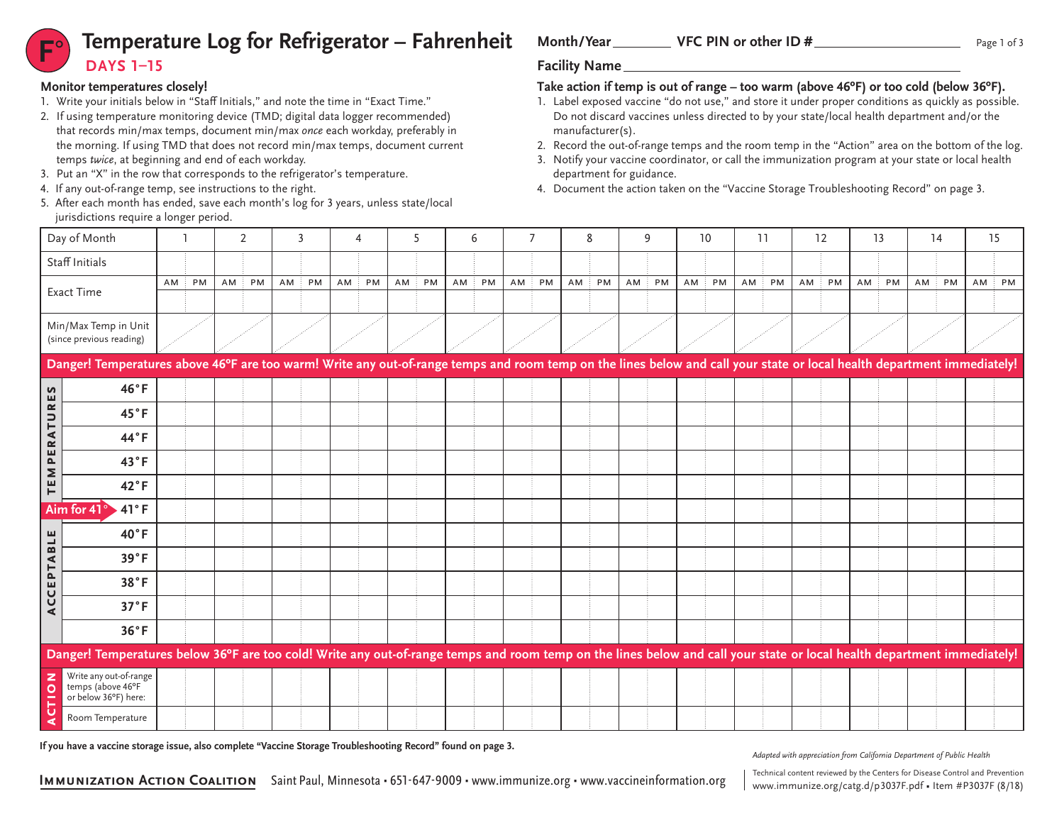# **Temperature Log for Refrigerator – Fahrenheit** Month/Year VFC PIN or other ID # **DAYS 1–15**

### **Monitor temperatures closely!**

- 1. Write your initials below in "Staff Initials," and note the time in "Exact Time."
- 2. If using temperature monitoring device (TMD; digital data logger recommended) that records min/max temps, document min/max *once* each workday, preferably in the morning. If using TMD that does not record min/max temps, document current temps *twice*, at beginning and end of each workday.
- 3. Put an "X" in the row that corresponds to the refrigerator's temperature.
- 4. If any out-of-range temp, see instructions to the right.
- 5. After each month has ended, save each month's log for 3 years, unless state/local jurisdictions require a longer period.

## Month/Year VFC PIN or other ID #

## **Take action if temp is out of range – too warm (above 46ºF) or too cold (below 36ºF).**

- 1. Label exposed vaccine "do not use," and store it under proper conditions as quickly as possible. Do not discard vaccines unless directed to by your state/local health department and/or the manufacturer(s).
- 2. Record the out-of-range temps and the room temp in the "Action" area on the bottom of the log.
- 3. Notify your vaccine coordinator, or call the immunization program at your state or local health department for guidance.
- 4. Document the action taken on the "Vaccine Storage Troubleshooting Record" on page 3.

| Day of Month                                                                                                                                                            |                                                                                                                                                                         |    |    |    | 2  |    | 3  |    | 4  |    | 5  |    | 6  |    | $\overline{7}$ |        | 8  |    | 9  |    | 10 |    | 11 |    | 12 |    | 13 |    | 14 |    | 15 |  |
|-------------------------------------------------------------------------------------------------------------------------------------------------------------------------|-------------------------------------------------------------------------------------------------------------------------------------------------------------------------|----|----|----|----|----|----|----|----|----|----|----|----|----|----------------|--------|----|----|----|----|----|----|----|----|----|----|----|----|----|----|----|--|
| Staff Initials                                                                                                                                                          |                                                                                                                                                                         |    |    |    |    |    |    |    |    |    |    |    |    |    |                |        |    |    |    |    |    |    |    |    |    |    |    |    |    |    |    |  |
| <b>Exact Time</b>                                                                                                                                                       |                                                                                                                                                                         | AM | PM | AM | PM | AM | PM | AM | PM | AM | PM | AM | PM | AM | PM             | $AM$ : | PM | AM | PM | AM | PM | AM | PM | AM | PM | AM | PM | AM | PM | AM | PM |  |
|                                                                                                                                                                         |                                                                                                                                                                         |    |    |    |    |    |    |    |    |    |    |    |    |    |                |        |    |    |    |    |    |    |    |    |    |    |    |    |    |    |    |  |
| Min/Max Temp in Unit<br>(since previous reading)                                                                                                                        |                                                                                                                                                                         |    |    |    |    |    |    |    |    |    |    |    |    |    |                |        |    |    |    |    |    |    |    |    |    |    |    |    |    |    |    |  |
| Danger! Temperatures above 46°F are too warm! Write any out-of-range temps and room temp on the lines below and call your state or local health department immediately! |                                                                                                                                                                         |    |    |    |    |    |    |    |    |    |    |    |    |    |                |        |    |    |    |    |    |    |    |    |    |    |    |    |    |    |    |  |
| S<br>ш                                                                                                                                                                  | 46°F                                                                                                                                                                    |    |    |    |    |    |    |    |    |    |    |    |    |    |                |        |    |    |    |    |    |    |    |    |    |    |    |    |    |    |    |  |
| $\simeq$                                                                                                                                                                | 45°F                                                                                                                                                                    |    |    |    |    |    |    |    |    |    |    |    |    |    |                |        |    |    |    |    |    |    |    |    |    |    |    |    |    |    |    |  |
| ATU<br>$\approx$                                                                                                                                                        | 44°F                                                                                                                                                                    |    |    |    |    |    |    |    |    |    |    |    |    |    |                |        |    |    |    |    |    |    |    |    |    |    |    |    |    |    |    |  |
| ш<br>$\mathbf{r}$<br>Σ                                                                                                                                                  | 43°F                                                                                                                                                                    |    |    |    |    |    |    |    |    |    |    |    |    |    |                |        |    |    |    |    |    |    |    |    |    |    |    |    |    |    |    |  |
| 삍                                                                                                                                                                       | $42^{\circ}F$                                                                                                                                                           |    |    |    |    |    |    |    |    |    |    |    |    |    |                |        |    |    |    |    |    |    |    |    |    |    |    |    |    |    |    |  |
|                                                                                                                                                                         | 41°F<br>Aim for 41°                                                                                                                                                     |    |    |    |    |    |    |    |    |    |    |    |    |    |                |        |    |    |    |    |    |    |    |    |    |    |    |    |    |    |    |  |
| 쁰                                                                                                                                                                       | $40^{\circ}$ F                                                                                                                                                          |    |    |    |    |    |    |    |    |    |    |    |    |    |                |        |    |    |    |    |    |    |    |    |    |    |    |    |    |    |    |  |
| <b>PTAB</b>                                                                                                                                                             | 39°F                                                                                                                                                                    |    |    |    |    |    |    |    |    |    |    |    |    |    |                |        |    |    |    |    |    |    |    |    |    |    |    |    |    |    |    |  |
| ш                                                                                                                                                                       | 38°F                                                                                                                                                                    |    |    |    |    |    |    |    |    |    |    |    |    |    |                |        |    |    |    |    |    |    |    |    |    |    |    |    |    |    |    |  |
| CC<br>$\blacktriangleleft$                                                                                                                                              | 37°F                                                                                                                                                                    |    |    |    |    |    |    |    |    |    |    |    |    |    |                |        |    |    |    |    |    |    |    |    |    |    |    |    |    |    |    |  |
|                                                                                                                                                                         | 36°F                                                                                                                                                                    |    |    |    |    |    |    |    |    |    |    |    |    |    |                |        |    |    |    |    |    |    |    |    |    |    |    |    |    |    |    |  |
|                                                                                                                                                                         | Danger! Temperatures below 36°F are too cold! Write any out-of-range temps and room temp on the lines below and call your state or local health department immediately! |    |    |    |    |    |    |    |    |    |    |    |    |    |                |        |    |    |    |    |    |    |    |    |    |    |    |    |    |    |    |  |
| z<br>$\circ$                                                                                                                                                            | Write any out-of-range<br>temps (above 46°F<br>or below 36°F) here:                                                                                                     |    |    |    |    |    |    |    |    |    |    |    |    |    |                |        |    |    |    |    |    |    |    |    |    |    |    |    |    |    |    |  |
| Ü                                                                                                                                                                       | Room Temperature                                                                                                                                                        |    |    |    |    |    |    |    |    |    |    |    |    |    |                |        |    |    |    |    |    |    |    |    |    |    |    |    |    |    |    |  |

**If you have a vaccine storage issue, also complete "Vaccine Storage Troubleshooting Record" found on page 3.**

*Adapted with appreciation from California Department of Public Health*

www.immunize.org/catg.d/p3037F.pdf • Item #P3037F (8/18)